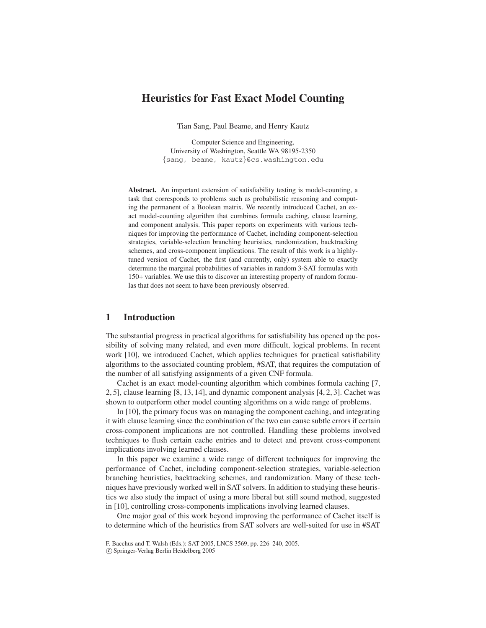# **Heuristics for Fast Exact Model Counting**

Tian Sang, Paul Beame, and Henry Kautz

Computer Science and Engineering, University of Washington, Seattle WA 98195-2350 {sang, beame, kautz}@cs.washington.edu

**Abstract.** An important extension of satisfiability testing is model-counting, a task that corresponds to problems such as probabilistic reasoning and computing the permanent of a Boolean matrix. We recently introduced Cachet, an exact model-counting algorithm that combines formula caching, clause learning, and component analysis. This paper reports on experiments with various techniques for improving the performance of Cachet, including component-selection strategies, variable-selection branching heuristics, randomization, backtracking schemes, and cross-component implications. The result of this work is a highlytuned version of Cachet, the first (and currently, only) system able to exactly determine the marginal probabilities of variables in random 3-SAT formulas with 150+ variables. We use this to discover an interesting property of random formulas that does not seem to have been previously observed.

## **1 Introduction**

The substantial progress in practical algorithms for satisfiability has opened up the possibility of solving many related, and even more difficult, logical problems. In recent work [10], we introduced Cachet, which applies techniques for practical satisfiability algorithms to the associated counting problem, #SAT, that requires the computation of the number of all satisfying assignments of a given CNF formula.

Cachet is an exact model-counting algorithm which combines formula caching [7, 2, 5], clause learning [8, 13, 14], and dynamic component analysis [4, 2, 3]. Cachet was shown to outperform other model counting algorithms on a wide range of problems.

In [10], the primary focus was on managing the component caching, and integrating it with clause learning since the combination of the two can cause subtle errors if certain cross-component implications are not controlled. Handling these problems involved techniques to flush certain cache entries and to detect and prevent cross-component implications involving learned clauses.

In this paper we examine a wide range of different techniques for improving the performance of Cachet, including component-selection strategies, variable-selection branching heuristics, backtracking schemes, and randomization. Many of these techniques have previously worked well in SAT solvers. In addition to studying these heuristics we also study the impact of using a more liberal but still sound method, suggested in [10], controlling cross-components implications involving learned clauses.

One major goal of this work beyond improving the performance of Cachet itself is to determine which of the heuristics from SAT solvers are well-suited for use in #SAT

F. Bacchus and T. Walsh (Eds.): SAT 2005, LNCS 3569, pp. 226–240, 2005.

c Springer-Verlag Berlin Heidelberg 2005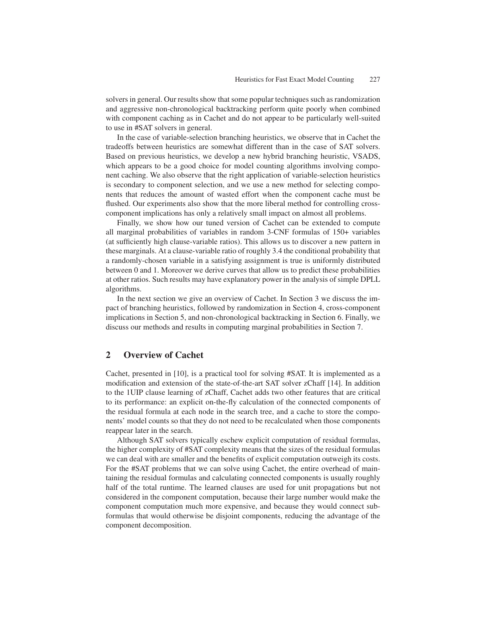solvers in general. Our results show that some popular techniques such as randomization and aggressive non-chronological backtracking perform quite poorly when combined with component caching as in Cachet and do not appear to be particularly well-suited to use in #SAT solvers in general.

In the case of variable-selection branching heuristics, we observe that in Cachet the tradeoffs between heuristics are somewhat different than in the case of SAT solvers. Based on previous heuristics, we develop a new hybrid branching heuristic, VSADS, which appears to be a good choice for model counting algorithms involving component caching. We also observe that the right application of variable-selection heuristics is secondary to component selection, and we use a new method for selecting components that reduces the amount of wasted effort when the component cache must be flushed. Our experiments also show that the more liberal method for controlling crosscomponent implications has only a relatively small impact on almost all problems.

Finally, we show how our tuned version of Cachet can be extended to compute all marginal probabilities of variables in random 3-CNF formulas of 150+ variables (at sufficiently high clause-variable ratios). This allows us to discover a new pattern in these marginals. At a clause-variable ratio of roughly 3.4 the conditional probability that a randomly-chosen variable in a satisfying assignment is true is uniformly distributed between 0 and 1. Moreover we derive curves that allow us to predict these probabilities at other ratios. Such results may have explanatory power in the analysis of simple DPLL algorithms.

In the next section we give an overview of Cachet. In Section 3 we discuss the impact of branching heuristics, followed by randomization in Section 4, cross-component implications in Section 5, and non-chronological backtracking in Section 6. Finally, we discuss our methods and results in computing marginal probabilities in Section 7.

# **2 Overview of Cachet**

Cachet, presented in [10], is a practical tool for solving #SAT. It is implemented as a modification and extension of the state-of-the-art SAT solver zChaff [14]. In addition to the 1UIP clause learning of zChaff, Cachet adds two other features that are critical to its performance: an explicit on-the-fly calculation of the connected components of the residual formula at each node in the search tree, and a cache to store the components' model counts so that they do not need to be recalculated when those components reappear later in the search.

Although SAT solvers typically eschew explicit computation of residual formulas, the higher complexity of #SAT complexity means that the sizes of the residual formulas we can deal with are smaller and the benefits of explicit computation outweigh its costs. For the #SAT problems that we can solve using Cachet, the entire overhead of maintaining the residual formulas and calculating connected components is usually roughly half of the total runtime. The learned clauses are used for unit propagations but not considered in the component computation, because their large number would make the component computation much more expensive, and because they would connect subformulas that would otherwise be disjoint components, reducing the advantage of the component decomposition.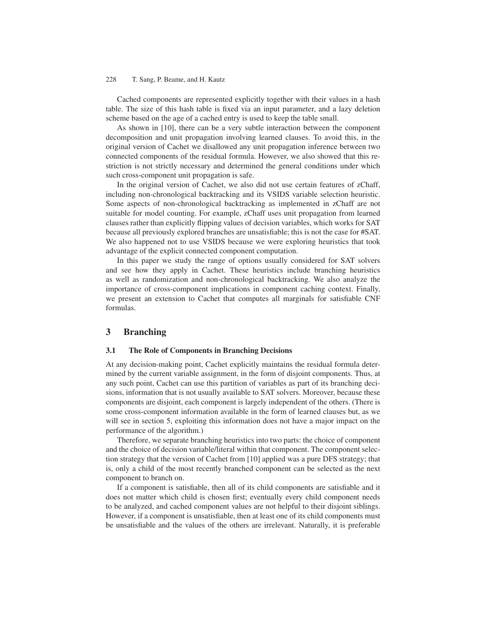Cached components are represented explicitly together with their values in a hash table. The size of this hash table is fixed via an input parameter, and a lazy deletion scheme based on the age of a cached entry is used to keep the table small.

As shown in [10], there can be a very subtle interaction between the component decomposition and unit propagation involving learned clauses. To avoid this, in the original version of Cachet we disallowed any unit propagation inference between two connected components of the residual formula. However, we also showed that this restriction is not strictly necessary and determined the general conditions under which such cross-component unit propagation is safe.

In the original version of Cachet, we also did not use certain features of zChaff, including non-chronological backtracking and its VSIDS variable selection heuristic. Some aspects of non-chronological backtracking as implemented in zChaff are not suitable for model counting. For example, zChaff uses unit propagation from learned clauses rather than explicitly flipping values of decision variables, which works for SAT because all previously explored branches are unsatisfiable; this is not the case for #SAT. We also happened not to use VSIDS because we were exploring heuristics that took advantage of the explicit connected component computation.

In this paper we study the range of options usually considered for SAT solvers and see how they apply in Cachet. These heuristics include branching heuristics as well as randomization and non-chronological backtracking. We also analyze the importance of cross-component implications in component caching context. Finally, we present an extension to Cachet that computes all marginals for satisfiable CNF formulas.

### **3 Branching**

### **3.1 The Role of Components in Branching Decisions**

At any decision-making point, Cachet explicitly maintains the residual formula determined by the current variable assignment, in the form of disjoint components. Thus, at any such point, Cachet can use this partition of variables as part of its branching decisions, information that is not usually available to SAT solvers. Moreover, because these components are disjoint, each component is largely independent of the others. (There is some cross-component information available in the form of learned clauses but, as we will see in section 5, exploiting this information does not have a major impact on the performance of the algorithm.)

Therefore, we separate branching heuristics into two parts: the choice of component and the choice of decision variable/literal within that component. The component selection strategy that the version of Cachet from [10] applied was a pure DFS strategy; that is, only a child of the most recently branched component can be selected as the next component to branch on.

If a component is satisfiable, then all of its child components are satisfiable and it does not matter which child is chosen first; eventually every child component needs to be analyzed, and cached component values are not helpful to their disjoint siblings. However, if a component is unsatisfiable, then at least one of its child components must be unsatisfiable and the values of the others are irrelevant. Naturally, it is preferable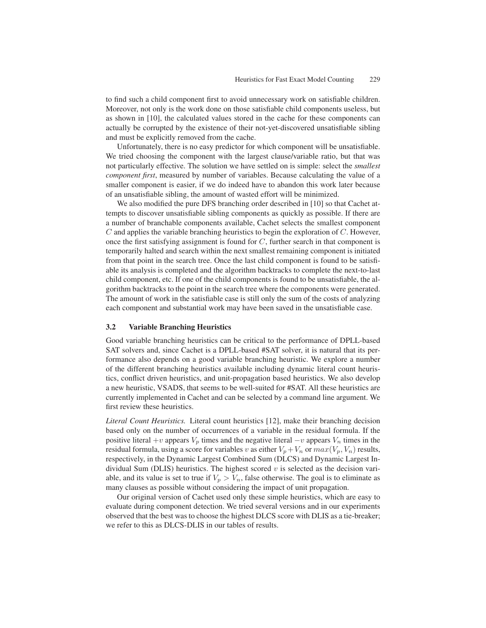to find such a child component first to avoid unnecessary work on satisfiable children. Moreover, not only is the work done on those satisfiable child components useless, but as shown in [10], the calculated values stored in the cache for these components can actually be corrupted by the existence of their not-yet-discovered unsatisfiable sibling and must be explicitly removed from the cache.

Unfortunately, there is no easy predictor for which component will be unsatisfiable. We tried choosing the component with the largest clause/variable ratio, but that was not particularly effective. The solution we have settled on is simple: select the *smallest component first*, measured by number of variables. Because calculating the value of a smaller component is easier, if we do indeed have to abandon this work later because of an unsatisfiable sibling, the amount of wasted effort will be minimized.

We also modified the pure DFS branching order described in [10] so that Cachet attempts to discover unsatisfiable sibling components as quickly as possible. If there are a number of branchable components available, Cachet selects the smallest component  $C$  and applies the variable branching heuristics to begin the exploration of  $C$ . However, once the first satisfying assignment is found for  $C$ , further search in that component is temporarily halted and search within the next smallest remaining component is initiated from that point in the search tree. Once the last child component is found to be satisfiable its analysis is completed and the algorithm backtracks to complete the next-to-last child component, etc. If one of the child components is found to be unsatisfiable, the algorithm backtracks to the point in the search tree where the components were generated. The amount of work in the satisfiable case is still only the sum of the costs of analyzing each component and substantial work may have been saved in the unsatisfiable case.

### **3.2 Variable Branching Heuristics**

Good variable branching heuristics can be critical to the performance of DPLL-based SAT solvers and, since Cachet is a DPLL-based #SAT solver, it is natural that its performance also depends on a good variable branching heuristic. We explore a number of the different branching heuristics available including dynamic literal count heuristics, conflict driven heuristics, and unit-propagation based heuristics. We also develop a new heuristic, VSADS, that seems to be well-suited for #SAT. All these heuristics are currently implemented in Cachet and can be selected by a command line argument. We first review these heuristics.

*Literal Count Heuristics.* Literal count heuristics [12], make their branching decision based only on the number of occurrences of a variable in the residual formula. If the positive literal +v appears  $V_p$  times and the negative literal  $-v$  appears  $V_n$  times in the residual formula, using a score for variables v as either  $V_p+V_n$  or  $max(V_p, V_n)$  results, respectively, in the Dynamic Largest Combined Sum (DLCS) and Dynamic Largest Individual Sum (DLIS) heuristics. The highest scored  $v$  is selected as the decision variable, and its value is set to true if  $V_p > V_n$ , false otherwise. The goal is to eliminate as many clauses as possible without considering the impact of unit propagation.

Our original version of Cachet used only these simple heuristics, which are easy to evaluate during component detection. We tried several versions and in our experiments observed that the best was to choose the highest DLCS score with DLIS as a tie-breaker; we refer to this as DLCS-DLIS in our tables of results.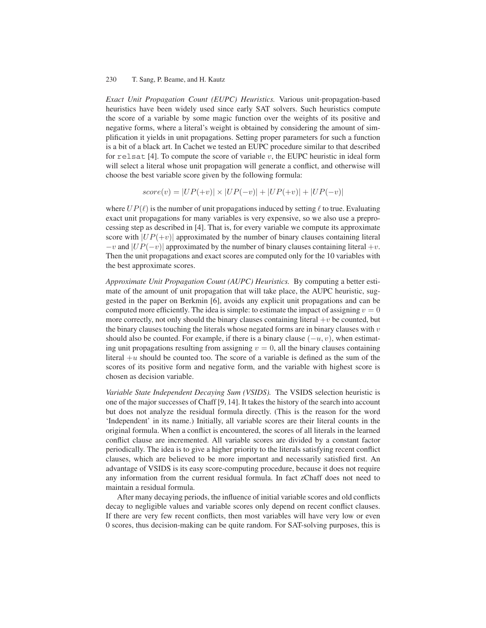*Exact Unit Propagation Count (EUPC) Heuristics.* Various unit-propagation-based heuristics have been widely used since early SAT solvers. Such heuristics compute the score of a variable by some magic function over the weights of its positive and negative forms, where a literal's weight is obtained by considering the amount of simplification it yields in unit propagations. Setting proper parameters for such a function is a bit of a black art. In Cachet we tested an EUPC procedure similar to that described for relation 14. To compute the score of variable  $v$ , the EUPC heuristic in ideal form will select a literal whose unit propagation will generate a conflict, and otherwise will choose the best variable score given by the following formula:

 $score(v) = |UP(+v)| \times |UP(-v)| + |UP(+v)| + |UP(-v)|$ 

where  $UP(\ell)$  is the number of unit propagations induced by setting  $\ell$  to true. Evaluating exact unit propagations for many variables is very expensive, so we also use a preprocessing step as described in [4]. That is, for every variable we compute its approximate score with  $|UP(+v)|$  approximated by the number of binary clauses containing literal  $-v$  and  $|UP(-v)|$  approximated by the number of binary clauses containing literal +v. Then the unit propagations and exact scores are computed only for the 10 variables with the best approximate scores.

*Approximate Unit Propagation Count (AUPC) Heuristics.* By computing a better estimate of the amount of unit propagation that will take place, the AUPC heuristic, suggested in the paper on Berkmin [6], avoids any explicit unit propagations and can be computed more efficiently. The idea is simple: to estimate the impact of assigning  $v = 0$ more correctly, not only should the binary clauses containing literal  $+v$  be counted, but the binary clauses touching the literals whose negated forms are in binary clauses with  $v$ should also be counted. For example, if there is a binary clause  $(-u, v)$ , when estimating unit propagations resulting from assigning  $v = 0$ , all the binary clauses containing literal  $+u$  should be counted too. The score of a variable is defined as the sum of the scores of its positive form and negative form, and the variable with highest score is chosen as decision variable.

*Variable State Independent Decaying Sum (VSIDS).* The VSIDS selection heuristic is one of the major successes of Chaff [9, 14]. It takes the history of the search into account but does not analyze the residual formula directly. (This is the reason for the word 'Independent' in its name.) Initially, all variable scores are their literal counts in the original formula. When a conflict is encountered, the scores of all literals in the learned conflict clause are incremented. All variable scores are divided by a constant factor periodically. The idea is to give a higher priority to the literals satisfying recent conflict clauses, which are believed to be more important and necessarily satisfied first. An advantage of VSIDS is its easy score-computing procedure, because it does not require any information from the current residual formula. In fact zChaff does not need to maintain a residual formula.

After many decaying periods, the influence of initial variable scores and old conflicts decay to negligible values and variable scores only depend on recent conflict clauses. If there are very few recent conflicts, then most variables will have very low or even 0 scores, thus decision-making can be quite random. For SAT-solving purposes, this is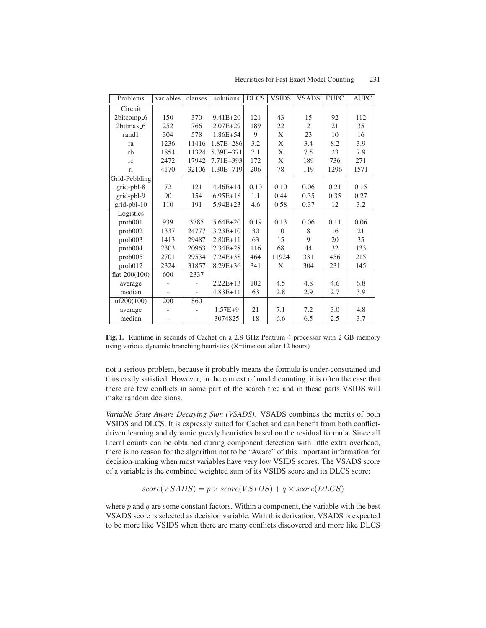Heuristics for Fast Exact Model Counting 231

| Problems               | variables | clauses                  | solutions    | <b>DLCS</b> | <b>VSIDS</b> | <b>VSADS</b>   | <b>EUPC</b> | $AUP\overline{C}$ |
|------------------------|-----------|--------------------------|--------------|-------------|--------------|----------------|-------------|-------------------|
| Circuit                |           |                          |              |             |              |                |             |                   |
| 2bitcomp <sub>-6</sub> | 150       | 370                      | $9.41E + 20$ | 121         | 43           | 15             | 92          | 112               |
| 2bitmax <sub>-6</sub>  | 252       | 766                      | $2.07E + 29$ | 189         | 22           | $\overline{2}$ | 21          | 35                |
| rand1                  | 304       | 578                      | $1.86E + 54$ | 9           | X            | 23             | 10          | 16                |
| ra                     | 1236      | 11416                    | 1.87E+286    | 3.2         | X            | 3.4            | 8.2         | 3.9               |
| rb                     | 1854      | 11324                    | 5.39E+371    | 7.1         | X            | 7.5            | 23          | 7.9               |
| rc                     | 2472      | 17942                    | 7.71E+393    | 172         | X            | 189            | 736         | 271               |
| ri                     | 4170      | 32106                    | 1.30E+719    | 206         | 78           | 119            | 1296        | 1571              |
| Grid-Pebbling          |           |                          |              |             |              |                |             |                   |
| grid-pbl-8             | 72        | 121                      | $4.46E+14$   | 0.10        | 0.10         | 0.06           | 0.21        | 0.15              |
| grid-pbl-9             | 90        | 154                      | $6.95E+18$   | 1.1         | 0.44         | 0.35           | 0.35        | 0.27              |
| grid-pbl-10            | 110       | 191                      | $5.94E + 23$ | 4.6         | 0.58         | 0.37           | 12          | 3.2               |
| Logistics              |           |                          |              |             |              |                |             |                   |
| prob001                | 939       | 3785                     | $5.64E + 20$ | 0.19        | 0.13         | 0.06           | 0.11        | 0.06              |
| prob002                | 1337      | 24777                    | $3.23E+10$   | 30          | 10           | 8              | 16          | 21                |
| prob003                | 1413      | 29487                    | $2.80E+11$   | 63          | 15           | 9              | 20          | 35                |
| prob004                | 2303      | 20963                    | $2.34E + 28$ | 116         | 68           | 44             | 32          | 133               |
| prob005                | 2701      | 29534                    | $7.24E + 38$ | 464         | 11924        | 331            | 456         | 215               |
| prob012                | 2324      | 31857                    | 8.29E+36     | 341         | X            | 304            | 231         | 145               |
| flat- $200(100)$       | 600       | 2337                     |              |             |              |                |             |                   |
| average                |           |                          | $2.22E+13$   | 102         | 4.5          | 4.8            | 4.6         | 6.8               |
| median                 |           | $\overline{\phantom{a}}$ | $4.83E+11$   | 63          | 2.8          | 2.9            | 2.7         | 3.9               |
| uf200(100)             | 200       | 860                      |              |             |              |                |             |                   |
| average                |           |                          | $1.57E+9$    | 21          | 7.1          | 7.2            | 3.0         | 4.8               |
| median                 |           |                          | 3074825      | 18          | 6.6          | 6.5            | 2.5         | 3.7               |

**Fig. 1.** Runtime in seconds of Cachet on a 2.8 GHz Pentium 4 processor with 2 GB memory using various dynamic branching heuristics (X=time out after 12 hours)

not a serious problem, because it probably means the formula is under-constrained and thus easily satisfied. However, in the context of model counting, it is often the case that there are few conflicts in some part of the search tree and in these parts VSIDS will make random decisions.

*Variable State Aware Decaying Sum (VSADS).* VSADS combines the merits of both VSIDS and DLCS. It is expressly suited for Cachet and can benefit from both conflictdriven learning and dynamic greedy heuristics based on the residual formula. Since all literal counts can be obtained during component detection with little extra overhead, there is no reason for the algorithm not to be "Aware" of this important information for decision-making when most variables have very low VSIDS scores. The VSADS score of a variable is the combined weighted sum of its VSIDS score and its DLCS score:

$$
score(VSADS) = p \times score(VSIDS) + q \times score(DLCS)
$$

where  $p$  and  $q$  are some constant factors. Within a component, the variable with the best VSADS score is selected as decision variable. With this derivation, VSADS is expected to be more like VSIDS when there are many conflicts discovered and more like DLCS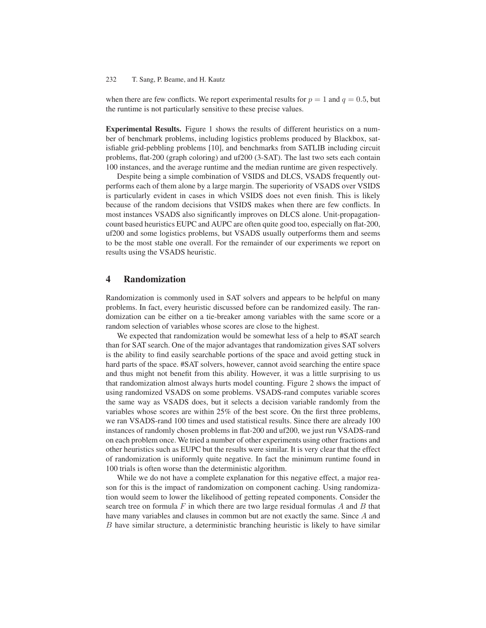when there are few conflicts. We report experimental results for  $p = 1$  and  $q = 0.5$ , but the runtime is not particularly sensitive to these precise values.

**Experimental Results.** Figure 1 shows the results of different heuristics on a number of benchmark problems, including logistics problems produced by Blackbox, satisfiable grid-pebbling problems [10], and benchmarks from SATLIB including circuit problems, flat-200 (graph coloring) and uf200 (3-SAT). The last two sets each contain 100 instances, and the average runtime and the median runtime are given respectively.

Despite being a simple combination of VSIDS and DLCS, VSADS frequently outperforms each of them alone by a large margin. The superiority of VSADS over VSIDS is particularly evident in cases in which VSIDS does not even finish. This is likely because of the random decisions that VSIDS makes when there are few conflicts. In most instances VSADS also significantly improves on DLCS alone. Unit-propagationcount based heuristics EUPC and AUPC are often quite good too, especially on flat-200, uf200 and some logistics problems, but VSADS usually outperforms them and seems to be the most stable one overall. For the remainder of our experiments we report on results using the VSADS heuristic.

## **4 Randomization**

Randomization is commonly used in SAT solvers and appears to be helpful on many problems. In fact, every heuristic discussed before can be randomized easily. The randomization can be either on a tie-breaker among variables with the same score or a random selection of variables whose scores are close to the highest.

We expected that randomization would be somewhat less of a help to #SAT search than for SAT search. One of the major advantages that randomization gives SAT solvers is the ability to find easily searchable portions of the space and avoid getting stuck in hard parts of the space. #SAT solvers, however, cannot avoid searching the entire space and thus might not benefit from this ability. However, it was a little surprising to us that randomization almost always hurts model counting. Figure 2 shows the impact of using randomized VSADS on some problems. VSADS-rand computes variable scores the same way as VSADS does, but it selects a decision variable randomly from the variables whose scores are within 25% of the best score. On the first three problems, we ran VSADS-rand 100 times and used statistical results. Since there are already 100 instances of randomly chosen problems in flat-200 and uf200, we just run VSADS-rand on each problem once. We tried a number of other experiments using other fractions and other heuristics such as EUPC but the results were similar. It is very clear that the effect of randomization is uniformly quite negative. In fact the minimum runtime found in 100 trials is often worse than the deterministic algorithm.

While we do not have a complete explanation for this negative effect, a major reason for this is the impact of randomization on component caching. Using randomization would seem to lower the likelihood of getting repeated components. Consider the search tree on formula  $F$  in which there are two large residual formulas  $A$  and  $B$  that have many variables and clauses in common but are not exactly the same. Since A and B have similar structure, a deterministic branching heuristic is likely to have similar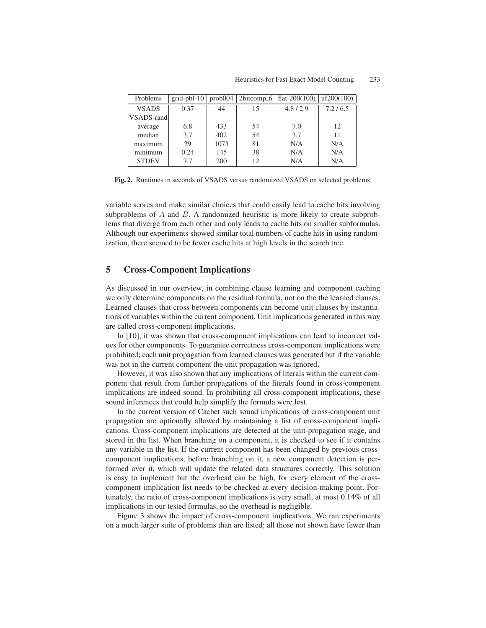| Problems     | grid-pbl- $10$ | prob004 |    | $2bitcomp_6 \mid flat-200(100)$ | $\text{uf200}(100)$ |
|--------------|----------------|---------|----|---------------------------------|---------------------|
| <b>VSADS</b> | 0.37           | 44      | 15 | 4.8/2.9                         | 7.2/6.5             |
| VSADS-rand   |                |         |    |                                 |                     |
| average      | 6.8            | 433     | 54 | 7.0                             | 12                  |
| median       | 3.7            | 402     | 54 | 3.7                             | 11                  |
| maximum      | 29             | 1073    | 81 | N/A                             | N/A                 |
| minimum      | 0.24           | 145     | 38 | N/A                             | N/A                 |
| <b>STDEV</b> | 7.7            | 200     | 12 | N/A                             | N/A                 |

**Fig. 2.** Runtimes in seconds of VSADS versus randomized VSADS on selected problems

variable scores and make similar choices that could easily lead to cache hits involving subproblems of A and B. A randomized heuristic is more likely to create subproblems that diverge from each other and only leads to cache hits on smaller subformulas. Although our experiments showed similar total numbers of cache hits in using randomization, there seemed to be fewer cache hits at high levels in the search tree.

# **5 Cross-Component Implications**

As discussed in our overview, in combining clause learning and component caching we only determine components on the residual formula, not on the the learned clauses. Learned clauses that cross between components can become unit clauses by instantiations of variables within the current component. Unit implications generated in this way are called cross-component implications.

In [10], it was shown that cross-component implications can lead to incorrect values for other components. To guarantee correctness cross-component implications were prohibited; each unit propagation from learned clauses was generated but if the variable was not in the current component the unit propagation was ignored.

However, it was also shown that any implications of literals within the current component that result from further propagations of the literals found in cross-component implications are indeed sound. In prohibiting all cross-component implications, these sound inferences that could help simplify the formula were lost.

In the current version of Cachet such sound implications of cross-component unit propagation are optionally allowed by maintaining a list of cross-component implications. Cross-component implications are detected at the unit-propagation stage, and stored in the list. When branching on a component, it is checked to see if it contains any variable in the list. If the current component has been changed by previous crosscomponent implications, before branching on it, a new component detection is performed over it, which will update the related data structures correctly. This solution is easy to implement but the overhead can be high, for every element of the crosscomponent implication list needs to be checked at every decision-making point. Fortunately, the ratio of cross-component implications is very small, at most 0.14% of all implications in our tested formulas, so the overhead is negligible.

Figure 3 shows the impact of cross-component implications. We ran experiments on a much larger suite of problems than are listed; all those not shown have fewer than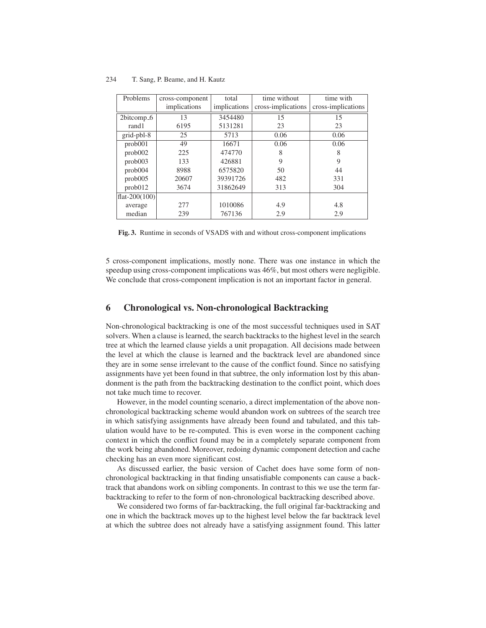| Problems               | cross-component | total        | time without       | time with          |  |
|------------------------|-----------------|--------------|--------------------|--------------------|--|
|                        | implications    | implications | cross-implications | cross-implications |  |
| 2bitcomp <sub>-6</sub> | 13              | 3454480      | 15                 | 15                 |  |
| rand1                  | 6195            | 5131281      | 23                 | 23                 |  |
| grid-pbl-8             | 25              | 5713         | 0.06               | 0.06               |  |
| prob001                | 49              | 16671        | 0.06               | 0.06               |  |
| prob002                | 225             | 474770       | 8                  | 8                  |  |
| prob003                | 133             | 426881       | 9                  | 9                  |  |
| prob <sub>004</sub>    | 8988            | 6575820      | 50                 | 44                 |  |
| prob005                | 20607           | 39391726     | 482                | 331                |  |
| prob <sub>012</sub>    | 3674            | 31862649     | 313                | 304                |  |
| flat- $200(100)$       |                 |              |                    |                    |  |
| average                | 277             | 1010086      | 4.9                | 4.8                |  |
| median                 | 239             | 767136       | 2.9                | 2.9                |  |

**Fig. 3.** Runtime in seconds of VSADS with and without cross-component implications

5 cross-component implications, mostly none. There was one instance in which the speedup using cross-component implications was 46%, but most others were negligible. We conclude that cross-component implication is not an important factor in general.

### **6 Chronological vs. Non-chronological Backtracking**

Non-chronological backtracking is one of the most successful techniques used in SAT solvers. When a clause is learned, the search backtracks to the highest level in the search tree at which the learned clause yields a unit propagation. All decisions made between the level at which the clause is learned and the backtrack level are abandoned since they are in some sense irrelevant to the cause of the conflict found. Since no satisfying assignments have yet been found in that subtree, the only information lost by this abandonment is the path from the backtracking destination to the conflict point, which does not take much time to recover.

However, in the model counting scenario, a direct implementation of the above nonchronological backtracking scheme would abandon work on subtrees of the search tree in which satisfying assignments have already been found and tabulated, and this tabulation would have to be re-computed. This is even worse in the component caching context in which the conflict found may be in a completely separate component from the work being abandoned. Moreover, redoing dynamic component detection and cache checking has an even more significant cost.

As discussed earlier, the basic version of Cachet does have some form of nonchronological backtracking in that finding unsatisfiable components can cause a backtrack that abandons work on sibling components. In contrast to this we use the term farbacktracking to refer to the form of non-chronological backtracking described above.

We considered two forms of far-backtracking, the full original far-backtracking and one in which the backtrack moves up to the highest level below the far backtrack level at which the subtree does not already have a satisfying assignment found. This latter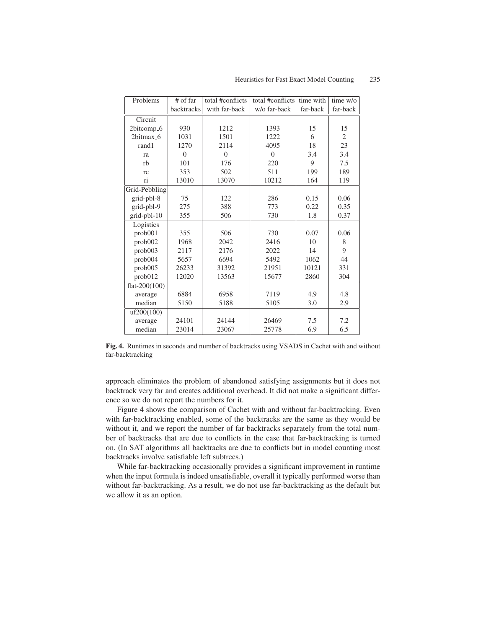| Problems               | # of far   | total #conflicts | total #conflicts time with |          | time w/o       |
|------------------------|------------|------------------|----------------------------|----------|----------------|
|                        | backtracks | with far-back    | w/o far-back               | far-back | far-back       |
| Circuit                |            |                  |                            |          |                |
| 2bitcomp <sub>-6</sub> | 930        | 1212             | 1393                       | 15       | 15             |
| $2$ hitmax $-6$        | 1031       | 1501             | 1222                       | 6        | $\overline{2}$ |
| rand1                  | 1270       | 2114             | 4095                       | 18       | 23             |
| ra                     | $\theta$   | $\theta$         | $\theta$                   | 3.4      | 3.4            |
| rb                     | 101        | 176              | 220                        | 9        | 7.5            |
| rc                     | 353        | 502              | 511                        | 199      | 189            |
| ri                     | 13010      | 13070            | 10212                      | 164      | 119            |
| Grid-Pebbling          |            |                  |                            |          |                |
| grid-pbl-8             | 75         | 122              | 286                        | 0.15     | 0.06           |
| grid-pbl-9             | 275        | 388              | 773                        | 0.22     | 0.35           |
| grid-pbl-10            | 355        | 506              | 730                        | 1.8      | 0.37           |
| Logistics              |            |                  |                            |          |                |
| prob001                | 355        | 506              | 730                        | 0.07     | 0.06           |
| prob002                | 1968       | 2042             | 2416                       | 10       | 8              |
| prob003                | 2117       | 2176             | 2022                       | 14       | 9              |
| prob004                | 5657       | 6694             | 5492                       | 1062     | 44             |
| prob005                | 26233      | 31392            | 21951                      | 10121    | 331            |
| prob012                | 12020      | 13563            | 15677                      | 2860     | 304            |
| flat- $200(100)$       |            |                  |                            |          |                |
| average                | 6884       | 6958             | 7119                       | 4.9      | 4.8            |
| median                 | 5150       | 5188             | 5105                       | 3.0      | 2.9            |
| uf200(100)             |            |                  |                            |          |                |
| average                | 24101      | 24144            | 26469                      | 7.5      | 7.2            |
| median                 | 23014      | 23067            | 25778                      | 6.9      | 6.5            |

**Fig. 4.** Runtimes in seconds and number of backtracks using VSADS in Cachet with and without far-backtracking

approach eliminates the problem of abandoned satisfying assignments but it does not backtrack very far and creates additional overhead. It did not make a significant difference so we do not report the numbers for it.

Figure 4 shows the comparison of Cachet with and without far-backtracking. Even with far-backtracking enabled, some of the backtracks are the same as they would be without it, and we report the number of far backtracks separately from the total number of backtracks that are due to conflicts in the case that far-backtracking is turned on. (In SAT algorithms all backtracks are due to conflicts but in model counting most backtracks involve satisfiable left subtrees.)

While far-backtracking occasionally provides a significant improvement in runtime when the input formula is indeed unsatisfiable, overall it typically performed worse than without far-backtracking. As a result, we do not use far-backtracking as the default but we allow it as an option.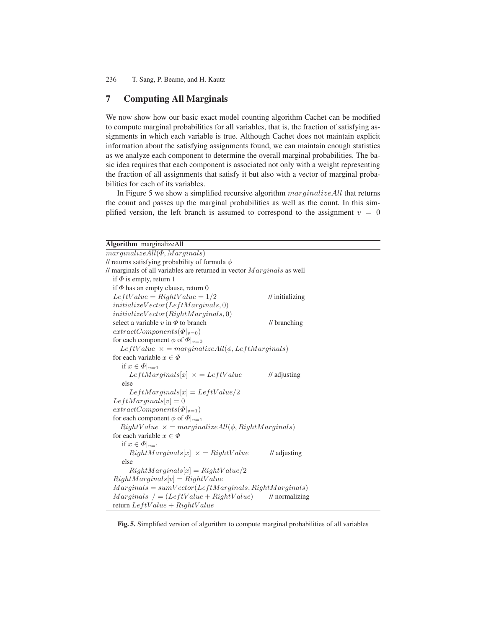## **7 Computing All Marginals**

We now show how our basic exact model counting algorithm Cachet can be modified to compute marginal probabilities for all variables, that is, the fraction of satisfying assignments in which each variable is true. Although Cachet does not maintain explicit information about the satisfying assignments found, we can maintain enough statistics as we analyze each component to determine the overall marginal probabilities. The basic idea requires that each component is associated not only with a weight representing the fraction of all assignments that satisfy it but also with a vector of marginal probabilities for each of its variables.

In Figure 5 we show a simplified recursive algorithm *marginalizeAll* that returns the count and passes up the marginal probabilities as well as the count. In this simplified version, the left branch is assumed to correspond to the assignment  $v = 0$ 

| Algorithm marginalizeAll                                                             |                              |  |  |  |
|--------------------------------------------------------------------------------------|------------------------------|--|--|--|
| $marginalizeAll(\Phi, Marginals)$                                                    |                              |  |  |  |
| // returns satisfying probability of formula $\phi$                                  |                              |  |  |  |
| $\prime\prime$ marginals of all variables are returned in vector $Marginals$ as well |                              |  |  |  |
| if $\Phi$ is empty, return 1                                                         |                              |  |  |  |
| if $\Phi$ has an empty clause, return 0                                              |                              |  |  |  |
| $LeftValue = RightValue = 1/2$                                                       | $\frac{1}{\pi}$ initializing |  |  |  |
| initializeVector(LeftMarginals, 0)                                                   |                              |  |  |  |
| initializeVector(Right Marginals, 0)                                                 |                              |  |  |  |
| select a variable v in $\Phi$ to branch                                              | $\frac{1}{\theta}$ branching |  |  |  |
| $extractComponents(\Phi _{v=0})$                                                     |                              |  |  |  |
| for each component $\phi$ of $\Phi _{v=0}$                                           |                              |  |  |  |
| $LeftValue \times = marginalizeAll(\phi, LeftMarginals)$                             |                              |  |  |  |
| for each variable $x \in \Phi$                                                       |                              |  |  |  |
| if $x \in \Phi _{v=0}$                                                               |                              |  |  |  |
| $LeftMarginals[x] \times = LeftValue$                                                | // adjusting                 |  |  |  |
| else                                                                                 |                              |  |  |  |
| $LeftMarginals[x] = LeftValue/2$                                                     |                              |  |  |  |
| $LeftMarginals[v] = 0$                                                               |                              |  |  |  |
| $extractComponents(\Phi _{v=1})$                                                     |                              |  |  |  |
| for each component $\phi$ of $\Phi _{v=1}$                                           |                              |  |  |  |
| $RightValue \times = marginalizeAll(\phi, RightMarginals)$                           |                              |  |  |  |
| for each variable $x \in \Phi$                                                       |                              |  |  |  |
| if $x \in \Phi _{v=1}$                                                               |                              |  |  |  |
| $Right Marginals[x] \times = RightValue$                                             | // adjusting                 |  |  |  |
| else                                                                                 |                              |  |  |  |
| $RightMarginals[x] = RightValue/2$                                                   |                              |  |  |  |
| $Right Marginals[v] = RightValue$                                                    |                              |  |  |  |
| $Marginals = sumVector(LeftMarginals, RightMarginals)$                               |                              |  |  |  |
| $Marqinals$ / = (LeftValue + RightValue)                                             | $\frac{1}{\pi}$ normalizing  |  |  |  |
| return $LeftValue + RightValue$                                                      |                              |  |  |  |

**Fig. 5.** Simplified version of algorithm to compute marginal probabilities of all variables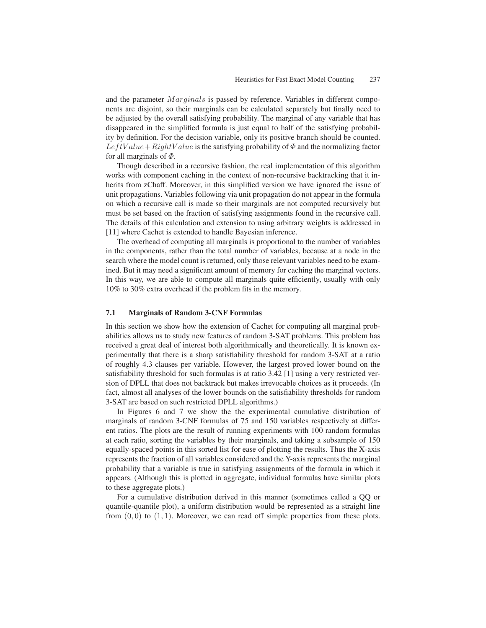and the parameter *Marginals* is passed by reference. Variables in different components are disjoint, so their marginals can be calculated separately but finally need to be adjusted by the overall satisfying probability. The marginal of any variable that has disappeared in the simplified formula is just equal to half of the satisfying probability by definition. For the decision variable, only its positive branch should be counted.  $LeftValue + RightValue$  is the satisfying probability of  $\Phi$  and the normalizing factor for all marginals of  $\Phi$ .

Though described in a recursive fashion, the real implementation of this algorithm works with component caching in the context of non-recursive backtracking that it inherits from zChaff. Moreover, in this simplified version we have ignored the issue of unit propagations. Variables following via unit propagation do not appear in the formula on which a recursive call is made so their marginals are not computed recursively but must be set based on the fraction of satisfying assignments found in the recursive call. The details of this calculation and extension to using arbitrary weights is addressed in [11] where Cachet is extended to handle Bayesian inference.

The overhead of computing all marginals is proportional to the number of variables in the components, rather than the total number of variables, because at a node in the search where the model count is returned, only those relevant variables need to be examined. But it may need a significant amount of memory for caching the marginal vectors. In this way, we are able to compute all marginals quite efficiently, usually with only 10% to 30% extra overhead if the problem fits in the memory.

### **7.1 Marginals of Random 3-CNF Formulas**

In this section we show how the extension of Cachet for computing all marginal probabilities allows us to study new features of random 3-SAT problems. This problem has received a great deal of interest both algorithmically and theoretically. It is known experimentally that there is a sharp satisfiability threshold for random 3-SAT at a ratio of roughly 4.3 clauses per variable. However, the largest proved lower bound on the satisfiability threshold for such formulas is at ratio 3.42 [1] using a very restricted version of DPLL that does not backtrack but makes irrevocable choices as it proceeds. (In fact, almost all analyses of the lower bounds on the satisfiability thresholds for random 3-SAT are based on such restricted DPLL algorithms.)

In Figures 6 and 7 we show the the experimental cumulative distribution of marginals of random 3-CNF formulas of 75 and 150 variables respectively at different ratios. The plots are the result of running experiments with 100 random formulas at each ratio, sorting the variables by their marginals, and taking a subsample of 150 equally-spaced points in this sorted list for ease of plotting the results. Thus the X-axis represents the fraction of all variables considered and the Y-axis represents the marginal probability that a variable is true in satisfying assignments of the formula in which it appears. (Although this is plotted in aggregate, individual formulas have similar plots to these aggregate plots.)

For a cumulative distribution derived in this manner (sometimes called a QQ or quantile-quantile plot), a uniform distribution would be represented as a straight line from  $(0, 0)$  to  $(1, 1)$ . Moreover, we can read off simple properties from these plots.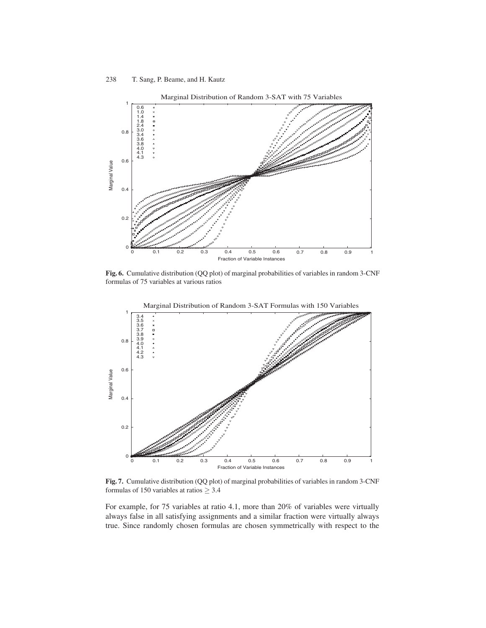

**Fig. 6.** Cumulative distribution (QQ plot) of marginal probabilities of variables in random 3-CNF formulas of 75 variables at various ratios



**Fig. 7.** Cumulative distribution (QQ plot) of marginal probabilities of variables in random 3-CNF formulas of 150 variables at ratios  $\geq$  3.4

For example, for 75 variables at ratio 4.1, more than 20% of variables were virtually always false in all satisfying assignments and a similar fraction were virtually always true. Since randomly chosen formulas are chosen symmetrically with respect to the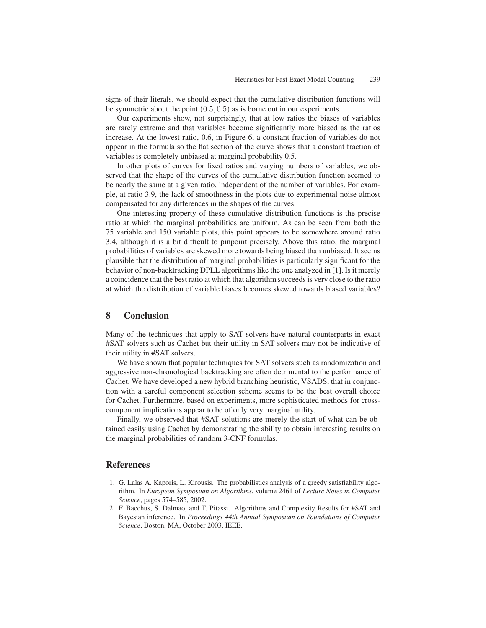signs of their literals, we should expect that the cumulative distribution functions will be symmetric about the point  $(0.5, 0.5)$  as is borne out in our experiments.

Our experiments show, not surprisingly, that at low ratios the biases of variables are rarely extreme and that variables become significantly more biased as the ratios increase. At the lowest ratio, 0.6, in Figure 6, a constant fraction of variables do not appear in the formula so the flat section of the curve shows that a constant fraction of variables is completely unbiased at marginal probability 0.5.

In other plots of curves for fixed ratios and varying numbers of variables, we observed that the shape of the curves of the cumulative distribution function seemed to be nearly the same at a given ratio, independent of the number of variables. For example, at ratio 3.9, the lack of smoothness in the plots due to experimental noise almost compensated for any differences in the shapes of the curves.

One interesting property of these cumulative distribution functions is the precise ratio at which the marginal probabilities are uniform. As can be seen from both the 75 variable and 150 variable plots, this point appears to be somewhere around ratio 3.4, although it is a bit difficult to pinpoint precisely. Above this ratio, the marginal probabilities of variables are skewed more towards being biased than unbiased. It seems plausible that the distribution of marginal probabilities is particularly significant for the behavior of non-backtracking DPLL algorithms like the one analyzed in [1]. Is it merely a coincidence that the best ratio at which that algorithm succeeds is very close to the ratio at which the distribution of variable biases becomes skewed towards biased variables?

## **8 Conclusion**

Many of the techniques that apply to SAT solvers have natural counterparts in exact #SAT solvers such as Cachet but their utility in SAT solvers may not be indicative of their utility in #SAT solvers.

We have shown that popular techniques for SAT solvers such as randomization and aggressive non-chronological backtracking are often detrimental to the performance of Cachet. We have developed a new hybrid branching heuristic, VSADS, that in conjunction with a careful component selection scheme seems to be the best overall choice for Cachet. Furthermore, based on experiments, more sophisticated methods for crosscomponent implications appear to be of only very marginal utility.

Finally, we observed that #SAT solutions are merely the start of what can be obtained easily using Cachet by demonstrating the ability to obtain interesting results on the marginal probabilities of random 3-CNF formulas.

### **References**

- 1. G. Lalas A. Kaporis, L. Kirousis. The probabilistics analysis of a greedy satisfiability algorithm. In *European Symposium on Algorithms*, volume 2461 of *Lecture Notes in Computer Science*, pages 574–585, 2002.
- 2. F. Bacchus, S. Dalmao, and T. Pitassi. Algorithms and Complexity Results for #SAT and Bayesian inference. In *Proceedings 44th Annual Symposium on Foundations of Computer Science*, Boston, MA, October 2003. IEEE.